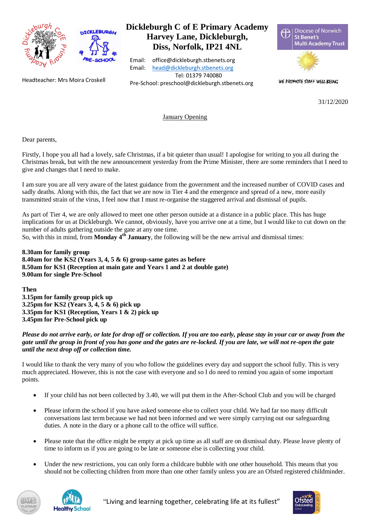

Headteacher: Mrs Moira Croskell

## **Dickleburgh C of E Primary Academy Harvey Lane, Dickleburgh, Diss, Norfolk, IP21 4NL**

Email: office@dickleburgh.stbenets.org Email: [head@dickleburgh.stbenets.org](mailto:head@dickleburgh.stbenets.org) Tel: 01379 740080 Pre-School: preschool@dickleburgh.stbenets.org



WE PROMOTE STAFF WELL-BEING

31/12/2020

January Opening

Dear parents,

Firstly, I hope you all had a lovely, safe Christmas, if a bit quieter than usual! I apologise for writing to you all during the Christmas break, but with the new announcement yesterday from the Prime Minister, there are some reminders that I need to give and changes that I need to make.

I am sure you are all very aware of the latest guidance from the government and the increased number of COVID cases and sadly deaths. Along with this, the fact that we are now in Tier 4 and the emergence and spread of a new, more easily transmitted strain of the virus, I feel now that I must re-organise the staggered arrival and dismissal of pupils.

As part of Tier 4, we are only allowed to meet one other person outside at a distance in a public place. This has huge implications for us at Dickleburgh. We cannot, obviously, have you arrive one at a time, but I would like to cut down on the number of adults gathering outside the gate at any one time.

So, with this in mind, from **Monday 4th January**, the following will be the new arrival and dismissal times:

**8.30am for family group 8.40am for the KS2 (Years 3, 4, 5 & 6) group-same gates as before 8.50am for KS1 (Reception at main gate and Years 1 and 2 at double gate) 9.00am for single Pre-School**

**Then** 

**3.15pm for family group pick up 3.25pm for KS2 (Years 3, 4, 5 & 6) pick up 3.35pm for KS1 (Reception, Years 1 & 2) pick up 3.45pm for Pre-School pick up**

*Please do not arrive early, or late for drop off or collection. If you are too early, please stay in your car or away from the gate until the group in front of you has gone and the gates are re-locked. If you are late, we will not re-open the gate until the next drop off or collection time.*

I would like to thank the very many of you who follow the guidelines every day and support the school fully. This is very much appreciated. However, this is not the case with everyone and so I do need to remind you again of some important points.

- If your child has not been collected by 3.40, we will put them in the After-School Club and you will be charged
- Please inform the school if you have asked someone else to collect your child. We had far too many difficult conversations last term because we had not been informed and we were simply carrying out our safeguarding duties. A note in the diary or a phone call to the office will suffice.
- Please note that the office might be empty at pick up time as all staff are on dismissal duty. Please leave plenty of time to inform us if you are going to be late or someone else is collecting your child.
- Under the new restrictions, you can only form a childcare bubble with one other household. This means that you should not be collecting children from more than one other family unless you are an Ofsted registered childminder.